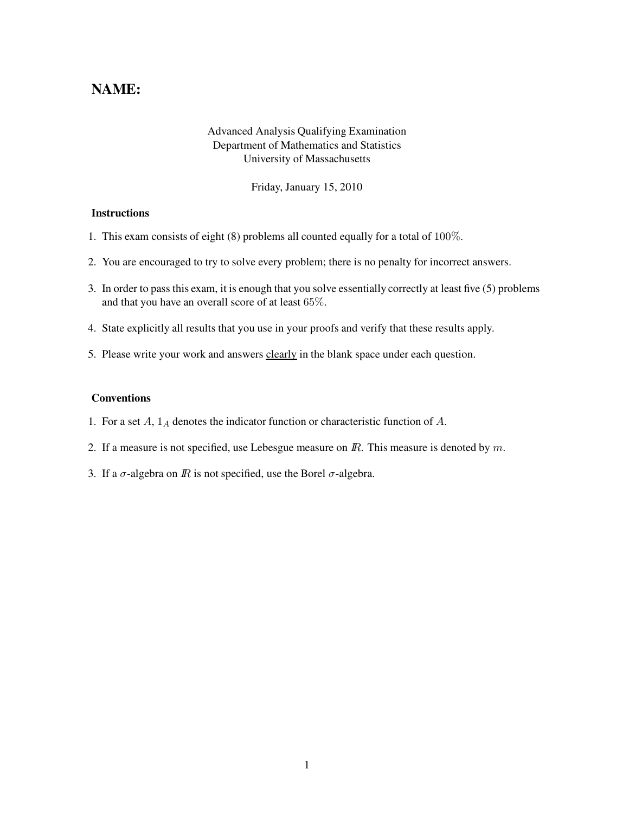## NAME:

## Advanced Analysis Qualifying Examination Department of Mathematics and Statistics University of Massachusetts

Friday, January 15, 2010

## **Instructions**

- 1. This exam consists of eight (8) problems all counted equally for a total of 100%.
- 2. You are encouraged to try to solve every problem; there is no penalty for incorrect answers.
- 3. In order to pass this exam, it is enough that you solve essentially correctly at least five (5) problems and that you have an overall score of at least 65%.
- 4. State explicitly all results that you use in your proofs and verify that these results apply.
- 5. Please write your work and answers clearly in the blank space under each question.

## Conventions

- 1. For a set  $A$ ,  $1_A$  denotes the indicator function or characteristic function of  $A$ .
- 2. If a measure is not specified, use Lebesgue measure on  $\mathbb{R}$ . This measure is denoted by  $m$ .
- 3. If a  $\sigma$ -algebra on  $\mathbb R$  is not specified, use the Borel  $\sigma$ -algebra.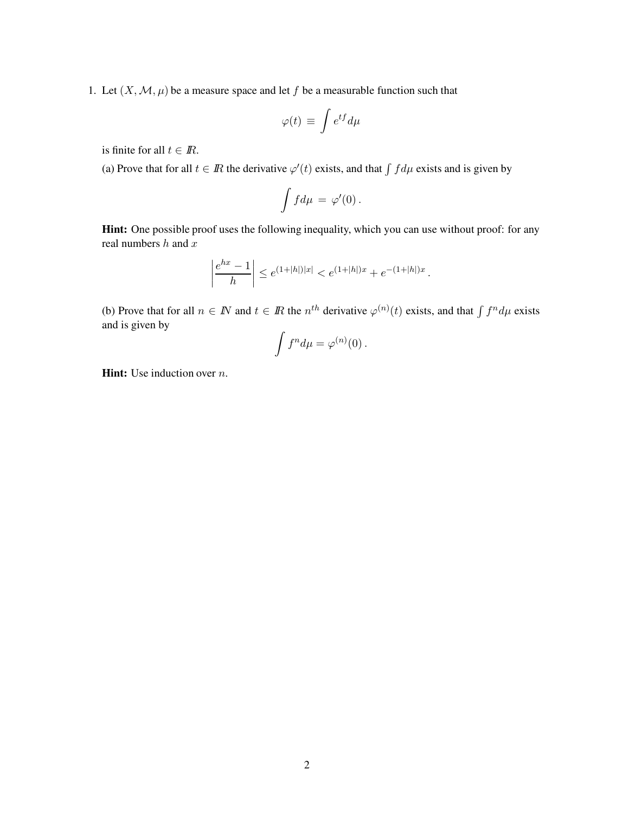1. Let  $(X, \mathcal{M}, \mu)$  be a measure space and let f be a measurable function such that

$$
\varphi(t) \, \equiv \, \int e^{tf} d\mu
$$

is finite for all  $t \in \mathbb{R}$ .

(a) Prove that for all  $t \in \mathbb{R}$  the derivative  $\varphi'(t)$  exists, and that  $\int f d\mu$  exists and is given by

$$
\int f d\mu = \varphi'(0) \, .
$$

Hint: One possible proof uses the following inequality, which you can use without proof: for any real numbers  $h$  and  $x$ 

$$
\left|\frac{e^{hx}-1}{h}\right| \le e^{(1+|h|)|x|} < e^{(1+|h|)x} + e^{-(1+|h|)x}.
$$

(b) Prove that for all  $n \in \mathbb{N}$  and  $t \in \mathbb{R}$  the  $n^{th}$  derivative  $\varphi^{(n)}(t)$  exists, and that  $\int f^n d\mu$  exists and is given by

$$
\int f^n d\mu = \varphi^{(n)}(0).
$$

**Hint:** Use induction over  $n$ .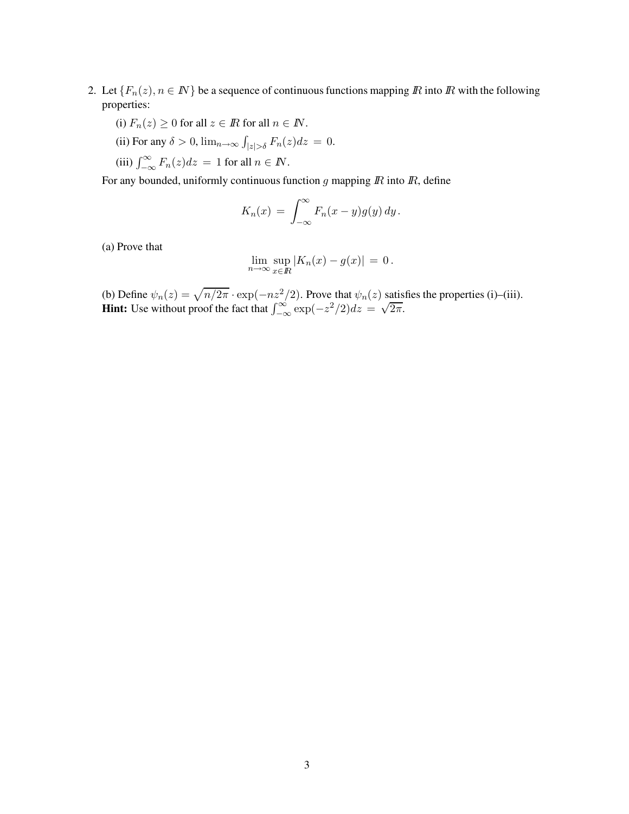- 2. Let  ${F_n(z), n \in \mathbb{N}}$  be a sequence of continuous functions mapping  $\mathbb R$  into  $\mathbb R$  with the following properties:
	- (i)  $F_n(z) \geq 0$  for all  $z \in \mathbb{R}$  for all  $n \in \mathbb{N}$ .
	- (ii) For any  $\delta > 0$ ,  $\lim_{n \to \infty} \int_{|z| > \delta} F_n(z) dz = 0$ .
	- (iii)  $\int_{-\infty}^{\infty} F_n(z) dz = 1$  for all  $n \in \mathbb{N}$ .

For any bounded, uniformly continuous function  $g$  mapping  $\overline{R}$  into  $\overline{R}$ , define

$$
K_n(x) = \int_{-\infty}^{\infty} F_n(x - y) g(y) \, dy.
$$

(a) Prove that

$$
\lim_{n \to \infty} \sup_{x \in \mathbb{R}} |K_n(x) - g(x)| = 0.
$$

(b) Define  $\psi_n(z) = \sqrt{n/2\pi} \cdot \exp(-nz^2/2)$ . Prove that  $\psi_n(z)$  satisfies the properties (i)–(iii). Hint: Use without proof the fact that  $\int_{-\infty}^{\infty} \exp(-z^2/2)dz = \sqrt{2\pi}$ .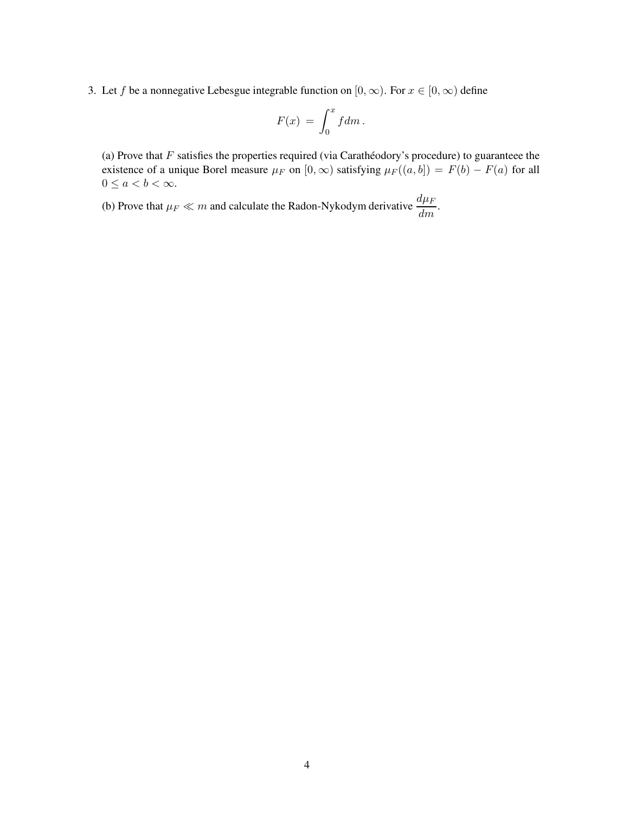3. Let f be a nonnegative Lebesgue integrable function on  $[0, \infty)$ . For  $x \in [0, \infty)$  define

$$
F(x) = \int_0^x f dm.
$$

(a) Prove that  $F$  satisfies the properties required (via Carathéodory's procedure) to guaranteee the existence of a unique Borel measure  $\mu_F$  on  $[0, \infty)$  satisfying  $\mu_F((a, b]) = F(b) - F(a)$  for all  $0 \leq a < b < \infty$ .

(b) Prove that  $\mu_F \ll m$  and calculate the Radon-Nykodym derivative  $\frac{d\mu_F}{dm}$ .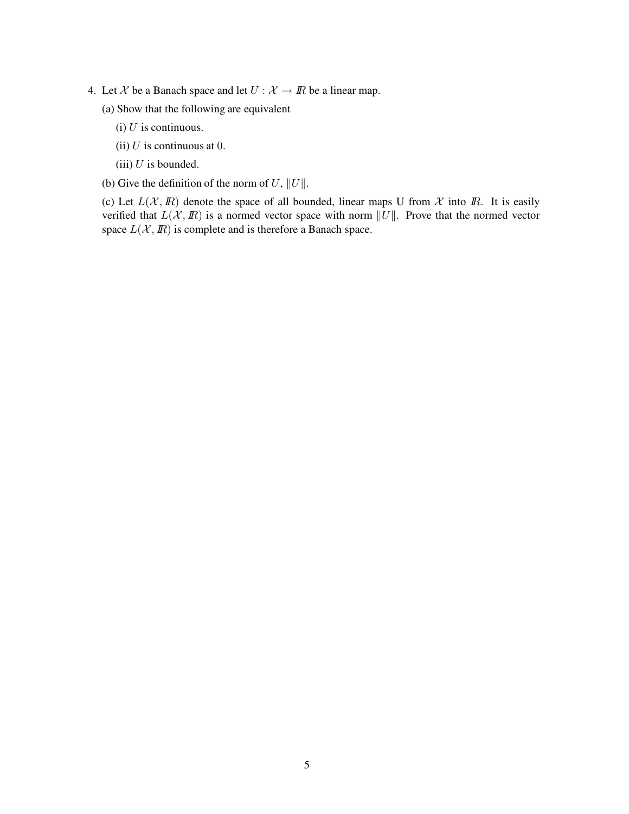- 4. Let X be a Banach space and let  $U : \mathcal{X} \to \mathbb{R}$  be a linear map.
	- (a) Show that the following are equivalent
		- (i)  $U$  is continuous.
		- (ii)  $U$  is continuous at 0.
		- (iii)  $U$  is bounded.
	- (b) Give the definition of the norm of U,  $||U||$ .

(c) Let  $L(\mathcal{X}, \mathbb{R})$  denote the space of all bounded, linear maps U from  $\mathcal{X}$  into  $\mathbb{R}$ . It is easily verified that  $L(\mathcal{X}, \mathbb{R})$  is a normed vector space with norm  $||U||$ . Prove that the normed vector space  $L(\mathcal{X}, \mathbb{R})$  is complete and is therefore a Banach space.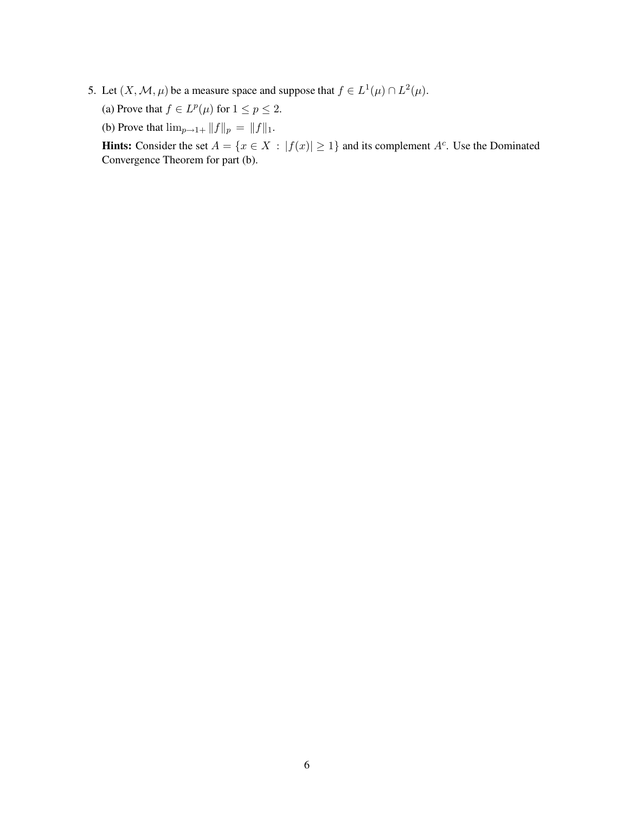- 5. Let  $(X, \mathcal{M}, \mu)$  be a measure space and suppose that  $f \in L^1(\mu) \cap L^2(\mu)$ .
	- (a) Prove that  $f \in L^p(\mu)$  for  $1 \le p \le 2$ .
	- (b) Prove that  $\lim_{p\to 1+} ||f||_p = ||f||_1$ .

**Hints:** Consider the set  $A = \{x \in X : |f(x)| \ge 1\}$  and its complement  $A^c$ . Use the Dominated Convergence Theorem for part (b).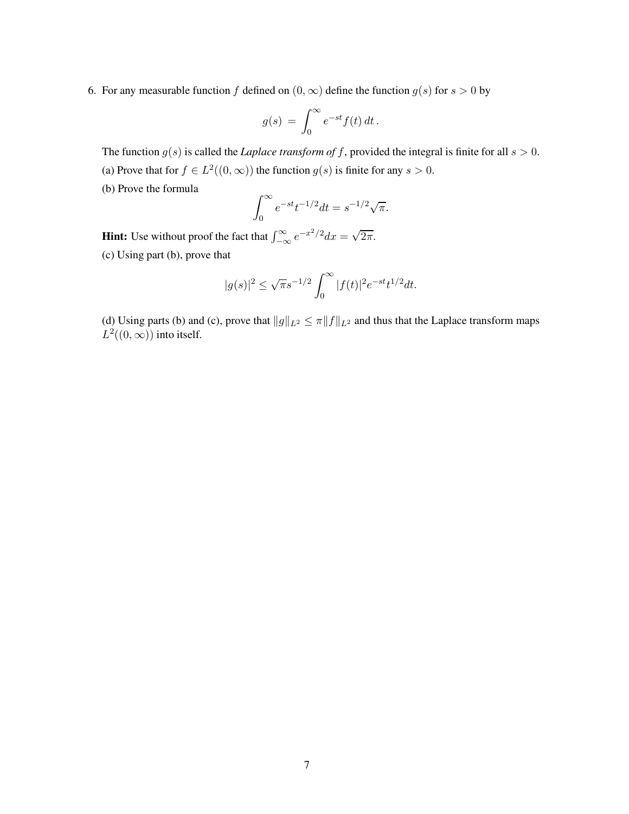6. For any measurable function f defined on  $(0, \infty)$  define the function  $g(s)$  for  $s > 0$  by

$$
g(s) = \int_0^\infty e^{-st} f(t) dt.
$$

The function  $g(s)$  is called the *Laplace transform of f*, provided the integral is finite for all  $s > 0$ . (a) Prove that for  $f \in L^2((0,\infty))$  the function  $g(s)$  is finite for any  $s > 0$ .

(b) Prove the formula

$$
\int_0^\infty e^{-st} t^{-1/2} dt = s^{-1/2} \sqrt{\pi}.
$$

**Hint:** Use without proof the fact that  $\int_{-\infty}^{\infty} e^{-x^2/2} dx = \sqrt{2\pi}$ . (c) Using part (b), prove that

$$
|g(s)|^2 \le \sqrt{\pi} s^{-1/2} \int_0^\infty |f(t)|^2 e^{-st} t^{1/2} dt.
$$

(d) Using parts (b) and (c), prove that  $||g||_{L^2} \le \pi ||f||_{L^2}$  and thus that the Laplace transform maps  $L^2((0,\infty))$  into itself.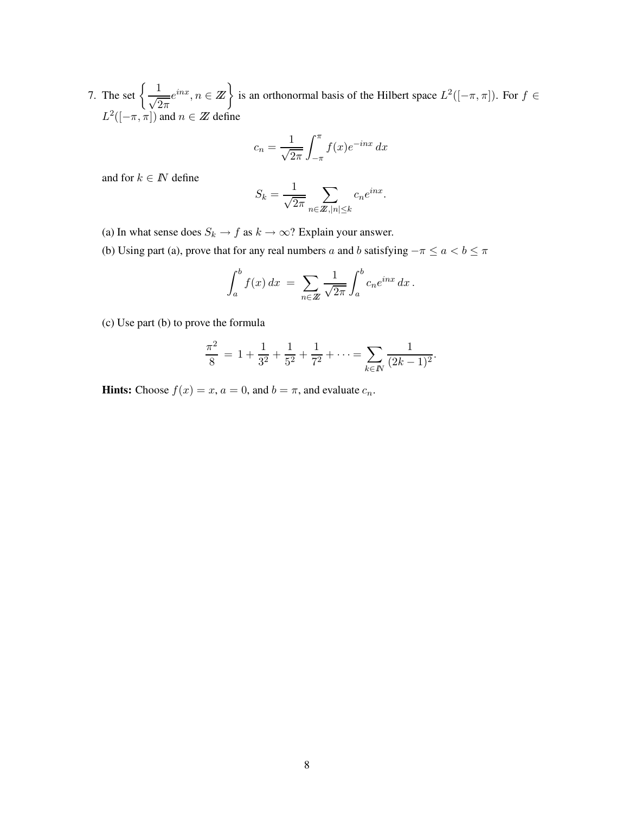7. The set  $\left\{\frac{1}{\sqrt{2}}\right\}$  $\sqrt{2\pi}$  $e^{inx}, n \in \mathbb{Z}$  is an orthonormal basis of the Hilbert space  $L^2([-\pi, \pi])$ . For  $f \in$  $L^2([-\pi,\pi])$  and  $n \in \mathbb{Z}$  define

$$
c_n = \frac{1}{\sqrt{2\pi}} \int_{-\pi}^{\pi} f(x)e^{-inx} dx
$$

and for  $k \in \mathbb{N}$  define

$$
S_k = \frac{1}{\sqrt{2\pi}} \sum_{n \in \mathbb{Z}, |n| \le k} c_n e^{inx}.
$$

- (a) In what sense does  $S_k \to f$  as  $k \to \infty$ ? Explain your answer.
- (b) Using part (a), prove that for any real numbers a and b satisfying  $-\pi \le a < b \le \pi$

$$
\int_a^b f(x) dx = \sum_{n \in \mathbb{Z}} \frac{1}{\sqrt{2\pi}} \int_a^b c_n e^{inx} dx.
$$

(c) Use part (b) to prove the formula

$$
\frac{\pi^2}{8} = 1 + \frac{1}{3^2} + \frac{1}{5^2} + \frac{1}{7^2} + \dots = \sum_{k \in \mathbb{N}} \frac{1}{(2k-1)^2}.
$$

**Hints:** Choose  $f(x) = x$ ,  $a = 0$ , and  $b = \pi$ , and evaluate  $c_n$ .